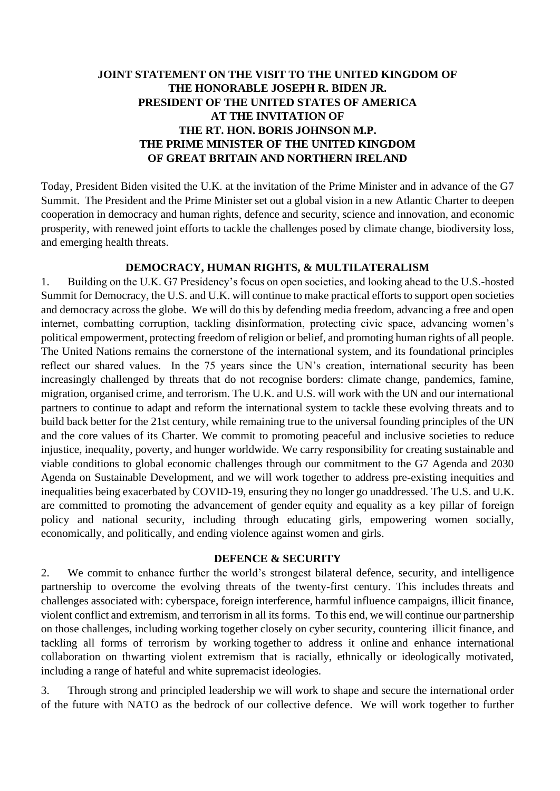# **JOINT STATEMENT ON THE VISIT TO THE UNITED KINGDOM OF THE HONORABLE JOSEPH R. BIDEN JR. PRESIDENT OF THE UNITED STATES OF AMERICA AT THE INVITATION OF THE RT. HON. BORIS JOHNSON M.P. THE PRIME MINISTER OF THE UNITED KINGDOM OF GREAT BRITAIN AND NORTHERN IRELAND**

Today, President Biden visited the U.K. at the invitation of the Prime Minister and in advance of the G7 Summit. The President and the Prime Minister set out a global vision in a new Atlantic Charter to deepen cooperation in democracy and human rights, defence and security, science and innovation, and economic prosperity, with renewed joint efforts to tackle the challenges posed by climate change, biodiversity loss, and emerging health threats.

#### **DEMOCRACY, HUMAN RIGHTS, & MULTILATERALISM**

1. Building on the U.K. G7 Presidency's focus on open societies, and looking ahead to the U.S.-hosted Summit for Democracy, the U.S. and U.K. will continue to make practical efforts to support open societies and democracy across the globe. We will do this by defending media freedom, advancing a free and open internet, combatting corruption, tackling disinformation, protecting civic space, advancing women's political empowerment, protecting freedom of religion or belief, and promoting human rights of all people. The United Nations remains the cornerstone of the international system, and its foundational principles reflect our shared values. In the 75 years since the UN's creation, international security has been increasingly challenged by threats that do not recognise borders: climate change, pandemics, famine, migration, organised crime, and terrorism. The U.K. and U.S. will work with the UN and our international partners to continue to adapt and reform the international system to tackle these evolving threats and to build back better for the 21st century, while remaining true to the universal founding principles of the UN and the core values of its Charter. We commit to promoting peaceful and inclusive societies to reduce injustice, inequality, poverty, and hunger worldwide. We carry responsibility for creating sustainable and viable conditions to global economic challenges through our commitment to the G7 Agenda and 2030 Agenda on Sustainable Development, and we will work together to address pre-existing inequities and inequalities being exacerbated by COVID-19, ensuring they no longer go unaddressed. The U.S. and U.K. are committed to promoting the advancement of gender equity and equality as a key pillar of foreign policy and national security, including through educating girls, empowering women socially, economically, and politically, and ending violence against women and girls.

#### **DEFENCE & SECURITY**

2. We commit to enhance further the world's strongest bilateral defence, security, and intelligence partnership to overcome the evolving threats of the twenty-first century. This includes threats and challenges associated with: cyberspace, foreign interference, harmful influence campaigns, illicit finance, violent conflict and extremism, and terrorism in all its forms. To this end, we will continue our partnership on those challenges, including working together closely on cyber security, countering illicit finance, and tackling all forms of terrorism by working together to address it online and enhance international collaboration on thwarting violent extremism that is racially, ethnically or ideologically motivated, including a range of hateful and white supremacist ideologies.

3. Through strong and principled leadership we will work to shape and secure the international order of the future with NATO as the bedrock of our collective defence. We will work together to further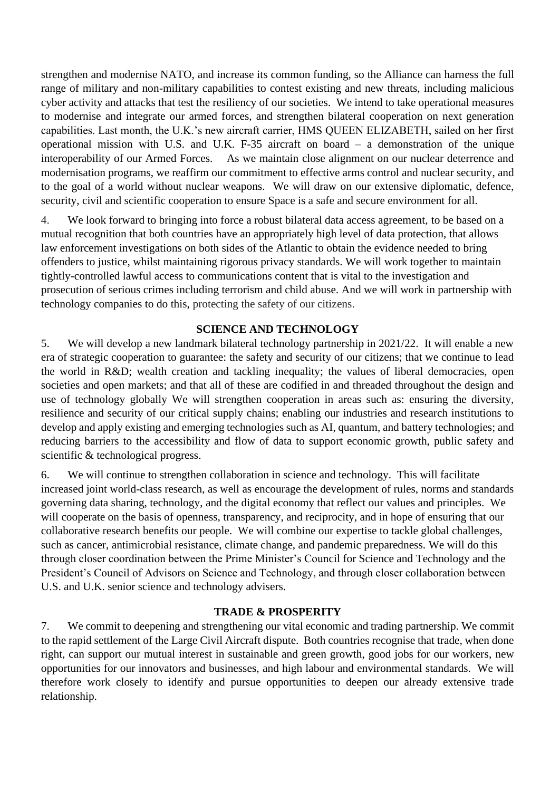strengthen and modernise NATO, and increase its common funding, so the Alliance can harness the full range of military and non-military capabilities to contest existing and new threats, including malicious cyber activity and attacks that test the resiliency of our societies. We intend to take operational measures to modernise and integrate our armed forces, and strengthen bilateral cooperation on next generation capabilities. Last month, the U.K.'s new aircraft carrier, HMS QUEEN ELIZABETH, sailed on her first operational mission with U.S. and U.K. F-35 aircraft on board – a demonstration of the unique interoperability of our Armed Forces. As we maintain close alignment on our nuclear deterrence and modernisation programs, we reaffirm our commitment to effective arms control and nuclear security, and to the goal of a world without nuclear weapons. We will draw on our extensive diplomatic, defence, security, civil and scientific cooperation to ensure Space is a safe and secure environment for all.

4. We look forward to bringing into force a robust bilateral data access agreement, to be based on a mutual recognition that both countries have an appropriately high level of data protection, that allows law enforcement investigations on both sides of the Atlantic to obtain the evidence needed to bring offenders to justice, whilst maintaining rigorous privacy standards. We will work together to maintain tightly-controlled lawful access to communications content that is vital to the investigation and prosecution of serious crimes including terrorism and child abuse. And we will work in partnership with technology companies to do this, protecting the safety of our citizens.

### **SCIENCE AND TECHNOLOGY**

5. We will develop a new landmark bilateral technology partnership in 2021/22. It will enable a new era of strategic cooperation to guarantee: the safety and security of our citizens; that we continue to lead the world in R&D; wealth creation and tackling inequality; the values of liberal democracies, open societies and open markets; and that all of these are codified in and threaded throughout the design and use of technology globally We will strengthen cooperation in areas such as: ensuring the diversity, resilience and security of our critical supply chains; enabling our industries and research institutions to develop and apply existing and emerging technologies such as AI, quantum, and battery technologies; and reducing barriers to the accessibility and flow of data to support economic growth, public safety and scientific & technological progress.

6. We will continue to strengthen collaboration in science and technology. This will facilitate increased joint world-class research, as well as encourage the development of rules, norms and standards governing data sharing, technology, and the digital economy that reflect our values and principles. We will cooperate on the basis of openness, transparency, and reciprocity, and in hope of ensuring that our collaborative research benefits our people. We will combine our expertise to tackle global challenges, such as cancer, antimicrobial resistance, climate change, and pandemic preparedness. We will do this through closer coordination between the Prime Minister's Council for Science and Technology and the President's Council of Advisors on Science and Technology, and through closer collaboration between U.S. and U.K. senior science and technology advisers.

#### **TRADE & PROSPERITY**

7. We commit to deepening and strengthening our vital economic and trading partnership. We commit to the rapid settlement of the Large Civil Aircraft dispute. Both countries recognise that trade, when done right, can support our mutual interest in sustainable and green growth, good jobs for our workers, new opportunities for our innovators and businesses, and high labour and environmental standards. We will therefore work closely to identify and pursue opportunities to deepen our already extensive trade relationship.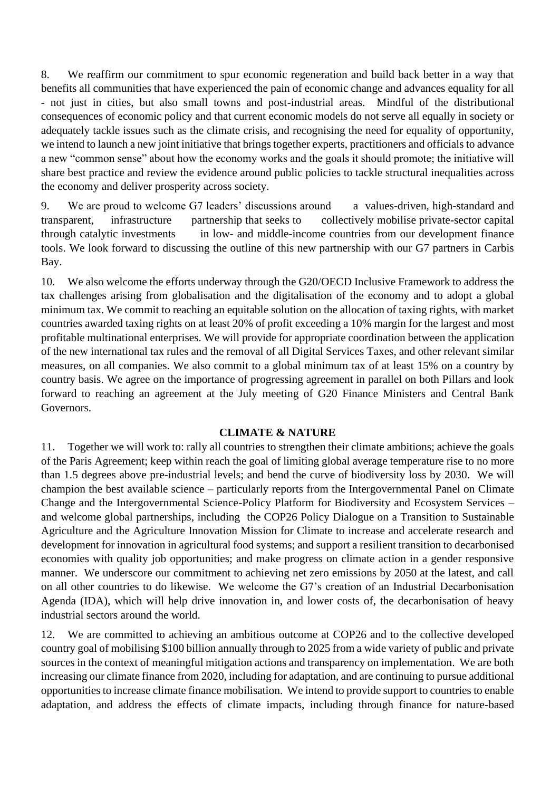8. We reaffirm our commitment to spur economic regeneration and build back better in a way that benefits all communities that have experienced the pain of economic change and advances equality for all - not just in cities, but also small towns and post-industrial areas. Mindful of the distributional consequences of economic policy and that current economic models do not serve all equally in society or adequately tackle issues such as the climate crisis, and recognising the need for equality of opportunity, we intend to launch a new joint initiative that brings together experts, practitioners and officials to advance a new "common sense" about how the economy works and the goals it should promote; the initiative will share best practice and review the evidence around public policies to tackle structural inequalities across the economy and deliver prosperity across society.

9. We are proud to welcome G7 leaders' discussions around a values-driven, high-standard and transparent, infrastructure partnership that seeks to collectively mobilise private-sector capital through catalytic investments in low- and middle-income countries from our development finance tools. We look forward to discussing the outline of this new partnership with our G7 partners in Carbis Bay.

10. We also welcome the efforts underway through the G20/OECD Inclusive Framework to address the tax challenges arising from globalisation and the digitalisation of the economy and to adopt a global minimum tax. We commit to reaching an equitable solution on the allocation of taxing rights, with market countries awarded taxing rights on at least 20% of profit exceeding a 10% margin for the largest and most profitable multinational enterprises. We will provide for appropriate coordination between the application of the new international tax rules and the removal of all Digital Services Taxes, and other relevant similar measures, on all companies. We also commit to a global minimum tax of at least 15% on a country by country basis. We agree on the importance of progressing agreement in parallel on both Pillars and look forward to reaching an agreement at the July meeting of G20 Finance Ministers and Central Bank Governors.

#### **CLIMATE & NATURE**

11. Together we will work to: rally all countries to strengthen their climate ambitions; achieve the goals of the Paris Agreement; keep within reach the goal of limiting global average temperature rise to no more than 1.5 degrees above pre-industrial levels; and bend the curve of biodiversity loss by 2030. We will champion the best available science – particularly reports from the Intergovernmental Panel on Climate Change and the Intergovernmental Science-Policy Platform for Biodiversity and Ecosystem Services – and welcome global partnerships, including the COP26 Policy Dialogue on a Transition to Sustainable Agriculture and the Agriculture Innovation Mission for Climate to increase and accelerate research and development for innovation in agricultural food systems; and support a resilient transition to decarbonised economies with quality job opportunities; and make progress on climate action in a gender responsive manner. We underscore our commitment to achieving net zero emissions by 2050 at the latest, and call on all other countries to do likewise. We welcome the G7's creation of an Industrial Decarbonisation Agenda (IDA), which will help drive innovation in, and lower costs of, the decarbonisation of heavy industrial sectors around the world.

12. We are committed to achieving an ambitious outcome at COP26 and to the collective developed country goal of mobilising \$100 billion annually through to 2025 from a wide variety of public and private sources in the context of meaningful mitigation actions and transparency on implementation. We are both increasing our climate finance from 2020, including for adaptation, and are continuing to pursue additional opportunities to increase climate finance mobilisation. We intend to provide support to countries to enable adaptation, and address the effects of climate impacts, including through finance for nature-based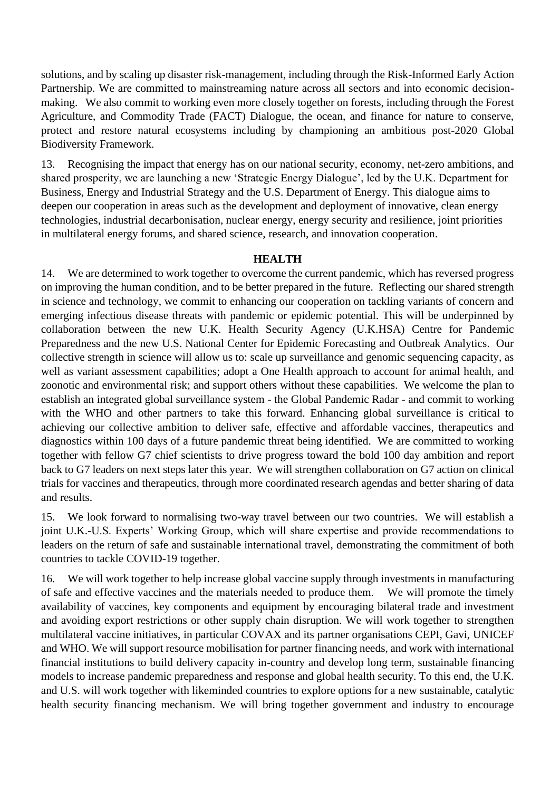solutions, and by scaling up disaster risk-management, including through the Risk-Informed Early Action Partnership. We are committed to mainstreaming nature across all sectors and into economic decisionmaking. We also commit to working even more closely together on forests, including through the Forest Agriculture, and Commodity Trade (FACT) Dialogue, the ocean, and finance for nature to conserve, protect and restore natural ecosystems including by championing an ambitious post-2020 Global Biodiversity Framework.

13. Recognising the impact that energy has on our national security, economy, net-zero ambitions, and shared prosperity, we are launching a new 'Strategic Energy Dialogue', led by the U.K. Department for Business, Energy and Industrial Strategy and the U.S. Department of Energy. This dialogue aims to deepen our cooperation in areas such as the development and deployment of innovative, clean energy technologies, industrial decarbonisation, nuclear energy, energy security and resilience, joint priorities in multilateral energy forums, and shared science, research, and innovation cooperation.

#### **HEALTH**

14. We are determined to work together to overcome the current pandemic, which has reversed progress on improving the human condition, and to be better prepared in the future. Reflecting our shared strength in science and technology, we commit to enhancing our cooperation on tackling variants of concern and emerging infectious disease threats with pandemic or epidemic potential. This will be underpinned by collaboration between the new U.K. Health Security Agency (U.K.HSA) Centre for Pandemic Preparedness and the new U.S. National Center for Epidemic Forecasting and Outbreak Analytics. Our collective strength in science will allow us to: scale up surveillance and genomic sequencing capacity, as well as variant assessment capabilities; adopt a One Health approach to account for animal health, and zoonotic and environmental risk; and support others without these capabilities. We welcome the plan to establish an integrated global surveillance system - the Global Pandemic Radar - and commit to working with the WHO and other partners to take this forward. Enhancing global surveillance is critical to achieving our collective ambition to deliver safe, effective and affordable vaccines, therapeutics and diagnostics within 100 days of a future pandemic threat being identified. We are committed to working together with fellow G7 chief scientists to drive progress toward the bold 100 day ambition and report back to G7 leaders on next steps later this year. We will strengthen collaboration on G7 action on clinical trials for vaccines and therapeutics, through more coordinated research agendas and better sharing of data and results.

15. We look forward to normalising two-way travel between our two countries. We will establish a joint U.K.-U.S. Experts' Working Group, which will share expertise and provide recommendations to leaders on the return of safe and sustainable international travel, demonstrating the commitment of both countries to tackle COVID-19 together.

16. We will work together to help increase global vaccine supply through investments in manufacturing of safe and effective vaccines and the materials needed to produce them. We will promote the timely availability of vaccines, key components and equipment by encouraging bilateral trade and investment and avoiding export restrictions or other supply chain disruption. We will work together to strengthen multilateral vaccine initiatives, in particular COVAX and its partner organisations CEPI, Gavi, UNICEF and WHO. We will support resource mobilisation for partner financing needs, and work with international financial institutions to build delivery capacity in-country and develop long term, sustainable financing models to increase pandemic preparedness and response and global health security. To this end, the U.K. and U.S. will work together with likeminded countries to explore options for a new sustainable, catalytic health security financing mechanism. We will bring together government and industry to encourage